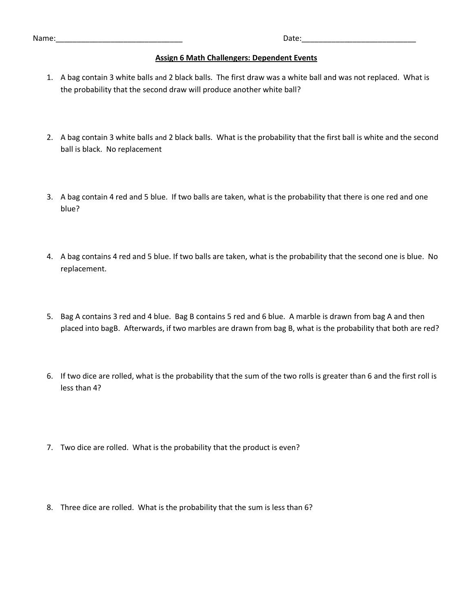Name:\_\_\_\_\_\_\_\_\_\_\_\_\_\_\_\_\_\_\_\_\_\_\_\_\_\_\_\_\_\_ Date:\_\_\_\_\_\_\_\_\_\_\_\_\_\_\_\_\_\_\_\_\_\_\_\_\_\_\_

## **Assign 6 Math Challengers: Dependent Events**

- 1. A bag contain 3 white balls and 2 black balls. The first draw was a white ball and was not replaced. What is the probability that the second draw will produce another white ball?
- 2. A bag contain 3 white balls and 2 black balls. What is the probability that the first ball is white and the second ball is black. No replacement
- 3. A bag contain 4 red and 5 blue. If two balls are taken, what is the probability that there is one red and one blue?
- 4. A bag contains 4 red and 5 blue. If two balls are taken, what is the probability that the second one is blue. No replacement.
- 5. Bag A contains 3 red and 4 blue. Bag B contains 5 red and 6 blue. A marble is drawn from bag A and then placed into bagB. Afterwards, if two marbles are drawn from bag B, what is the probability that both are red?
- 6. If two dice are rolled, what is the probability that the sum of the two rolls is greater than 6 and the first roll is less than 4?
- 7. Two dice are rolled. What is the probability that the product is even?
- 8. Three dice are rolled. What is the probability that the sum is less than 6?